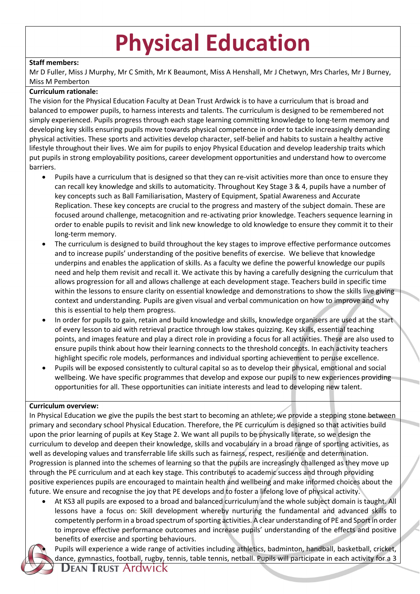## **Physical Education**

## **Staff members:**

Mr D Fuller, Miss J Murphy, Mr C Smith, Mr K Beaumont, Miss A Henshall, Mr J Chetwyn, Mrs Charles, Mr J Burney, Miss M Pemberton

## **Curriculum rationale:**

The vision for the Physical Education Faculty at Dean Trust Ardwick is to have a curriculum that is broad and balanced to empower pupils, to harness interests and talents. The curriculum is designed to be remembered not simply experienced. Pupils progress through each stage learning committing knowledge to long-term memory and developing key skills ensuring pupils move towards physical competence in order to tackle increasingly demanding physical activities. These sports and activities develop character, self-belief and habits to sustain a healthy active lifestyle throughout their lives. We aim for pupils to enjoy Physical Education and develop leadership traits which put pupils in strong employability positions, career development opportunities and understand how to overcome barriers.

- Pupils have a curriculum that is designed so that they can re-visit activities more than once to ensure they can recall key knowledge and skills to automaticity. Throughout Key Stage 3 & 4, pupils have a number of key concepts such as Ball Familiarisation, Mastery of Equipment, Spatial Awareness and Accurate Replication. These key concepts are crucial to the progress and mastery of the subject domain. These are focused around challenge, metacognition and re-activating prior knowledge. Teachers sequence learning in order to enable pupils to revisit and link new knowledge to old knowledge to ensure they commit it to their long-term memory.
- The curriculum is designed to build throughout the key stages to improve effective performance outcomes and to increase pupils' understanding of the positive benefits of exercise. We believe that knowledge underpins and enables the application of skills. As a faculty we define the powerful knowledge our pupils need and help them revisit and recall it. We activate this by having a carefully designing the curriculum that allows progression for all and allows challenge at each development stage. Teachers build in specific time within the lessons to ensure clarity on essential knowledge and demonstrations to show the skills live giving context and understanding. Pupils are given visual and verbal communication on how to improve and why this is essential to help them progress.
- In order for pupils to gain, retain and build knowledge and skills, knowledge organisers are used at the start of every lesson to aid with retrieval practice through low stakes quizzing. Key skills, essential teaching points, and images feature and play a direct role in providing a focus for all activities. These are also used to ensure pupils think about how their learning connects to the threshold concepts. In each activity teachers highlight specific role models, performances and individual sporting achievement to peruse excellence.
- Pupils will be exposed consistently to cultural capital so as to develop their physical, emotional and social wellbeing. We have specific programmes that develop and expose our pupils to new experiences providing opportunities for all. These opportunities can initiate interests and lead to developing new talent.

## **Curriculum overview:**

In Physical Education we give the pupils the best start to becoming an athlete; we provide a stepping stone between primary and secondary school Physical Education. Therefore, the PE curriculum is designed so that activities build upon the prior learning of pupils at Key Stage 2. We want all pupils to be physically literate, so we design the curriculum to develop and deepen their knowledge, skills and vocabulary in a broad range of sporting activities, as well as developing values and transferrable life skills such as fairness, respect, resilience and determination. Progression is planned into the schemes of learning so that the pupils are increasingly challenged as they move up through the PE curriculum and at each key stage. This contributes to academic success and through providing positive experiences pupils are encouraged to maintain health and wellbeing and make informed choices about the future. We ensure and recognise the joy that PE develops and to foster a lifelong love of physical activity.

• At KS3 all pupils are exposed to a broad and balanced curriculum and the whole subject domain is taught. All lessons have a focus on: Skill development whereby nurturing the fundamental and advanced skills to competently perform in a broad spectrum of sporting activities. A clear understanding of PE and Sport in order to improve effective performance outcomes and increase pupils' understanding of the effects and positive benefits of exercise and sporting behaviours.



• Pupils will experience a wide range of activities including athletics, badminton, handball, basketball, cricket, dance, gymnastics, football, rugby, tennis, table tennis, netball. Pupils will participate in each activity for a 3